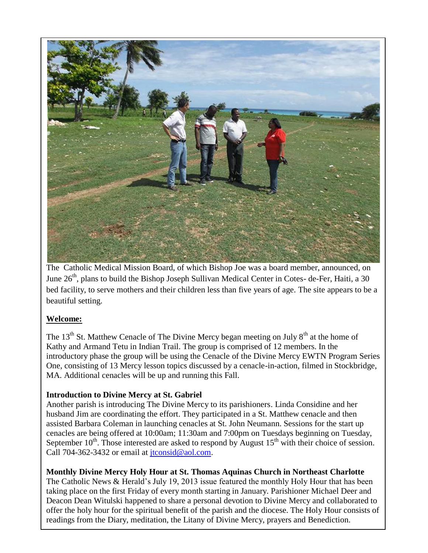

The Catholic Medical Mission Board, of which Bishop Joe was a board member, announced, on June  $26<sup>th</sup>$ , plans to build the Bishop Joseph Sullivan Medical Center in Cotes- de-Fer, Haiti, a 30 bed facility, to serve mothers and their children less than five years of age. The site appears to be a beautiful setting.

### **Welcome:**

The 13<sup>th</sup> St. Matthew Cenacle of The Divine Mercy began meeting on July  $8<sup>th</sup>$  at the home of Kathy and Armand Tetu in Indian Trail. The group is comprised of 12 members. In the introductory phase the group will be using the Cenacle of the Divine Mercy EWTN Program Series One, consisting of 13 Mercy lesson topics discussed by a cenacle-in-action, filmed in Stockbridge, MA. Additional cenacles will be up and running this Fall.

### **Introduction to Divine Mercy at St. Gabriel**

Another parish is introducing The Divine Mercy to its parishioners. Linda Considine and her husband Jim are coordinating the effort. They participated in a St. Matthew cenacle and then assisted Barbara Coleman in launching cenacles at St. John Neumann. Sessions for the start up cenacles are being offered at 10:00am; 11:30am and 7:00pm on Tuesdays beginning on Tuesday, September  $10^{th}$ . Those interested are asked to respond by August  $15^{th}$  with their choice of session. Call 704-362-3432 or email at [jtconsid@aol.com.](mailto:jtconsid@aol.com)

**Monthly Divine Mercy Holy Hour at St. Thomas Aquinas Church in Northeast Charlotte**  The Catholic News & Herald's July 19, 2013 issue featured the monthly Holy Hour that has been taking place on the first Friday of every month starting in January. Parishioner Michael Deer and Deacon Dean Witulski happened to share a personal devotion to Divine Mercy and collaborated to offer the holy hour for the spiritual benefit of the parish and the diocese. The Holy Hour consists of readings from the Diary, meditation, the Litany of Divine Mercy, prayers and Benediction.